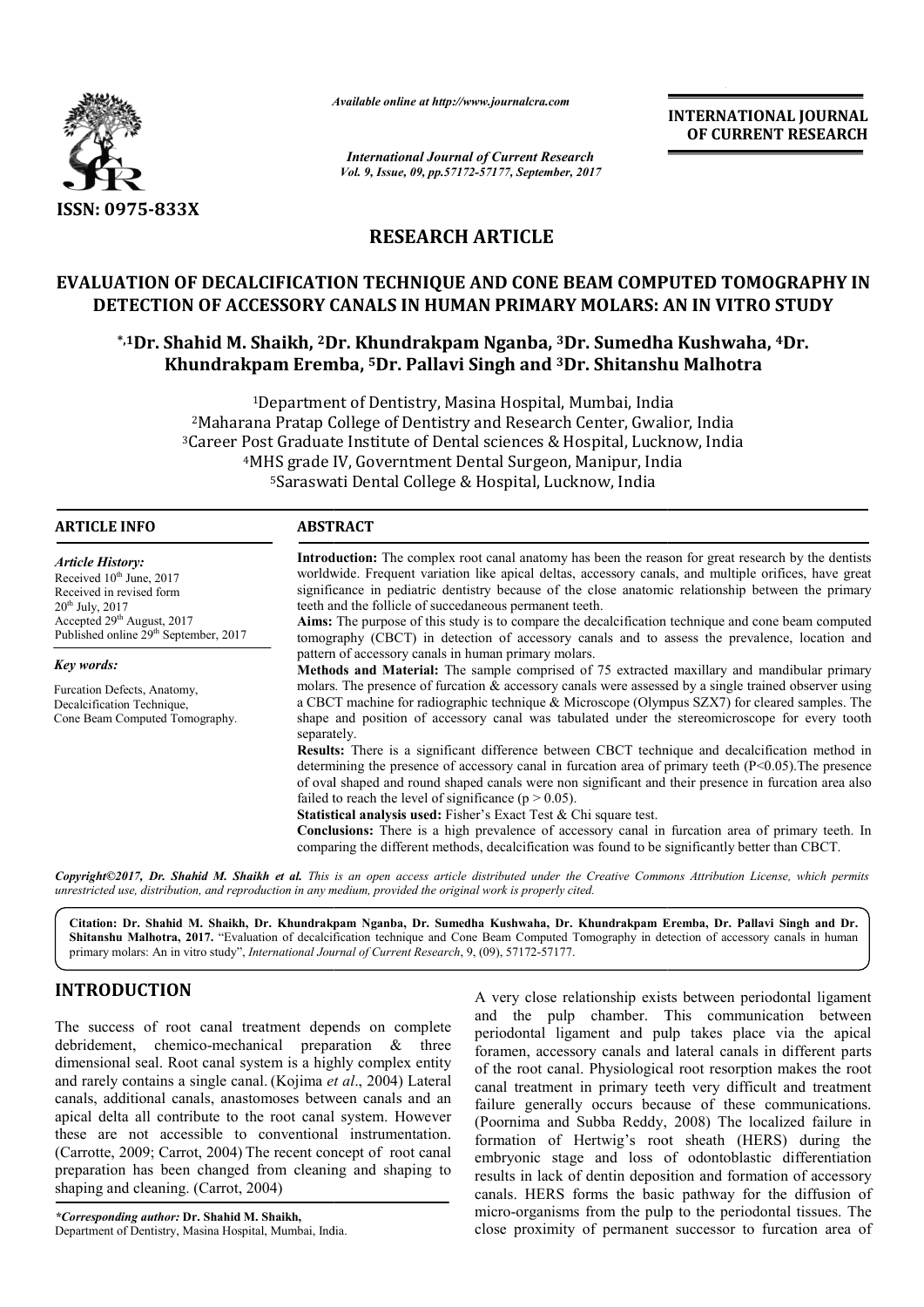

*Available online at http://www.journal http://www.journalcra.com*

*International Journal of Current Research Vol. 9, Issue, 09, pp.57172-57177, September, 2017* **INTERNATIONAL JOURNAL OF CURRENT RESEARCH** 

# **RESEARCH ARTICLE**

# **EVALUATION OF DECALCIFICATION TECHNIQUE AND CONE BEAM COMPUTED TOMOGRAPHY IN DETECTION OF ACCESSORY CANALS IN HUMAN PRIMARY MOLARS: AN IN VITRO STUDY DECALCIFICATION TECHNIQUE AND CONE BEAM COMPUTED TOMOGRAPHY IN**<br>OF ACCESSORY CANALS IN HUMAN PRIMARY MOLARS: AN IN VITRO STUDY<br>hid M. Shaikh, <sup>2</sup>Dr. Khundrakpam Nganba, <sup>3</sup>Dr. Sumedha Kushwaha, <sup>4</sup>Dr.

# **\*,1Dr. Shahid M. Shaikh, 2Dr. Dr. Khundrakpam Nganba, 3Dr. Sumedha Kushwaha, Khundrakpam Eremba, 5Dr. Pallavi Singh and 3Dr. Shitanshu Dr. Malhotra**

<sup>1</sup>Department of Dentistry, Masina Hospital, Mumbai, India 2Maharana Pratap College of Dentistry and Research Center, Gwalior , Center, Gwalior, India <sup>2</sup>Maharana Pratap College of Dentistry and Research Center, Gwalior, India<br><sup>3</sup>Career Post Graduate Institute of Dental sciences & Hospital, Lucknow, India <sup>4</sup>MHS grade IV, Governtment Dental Surgeon, Manipur, India 5Saraswati Saraswati Dental College & Hospital, Lucknow, India

#### **ARTICLE INFO ABSTRACT**

*Article History:* Received 10<sup>th</sup> June, 2017 Received in revised form 20th July, 2017  $\text{Accepted } 29^{\text{th}}$  August, 2017 Published online 29<sup>th</sup> September, 2017

*Key words:*

Furcation Defects, Anatomy, Decalcification Technique, Cone Beam Computed Tomography.

**Introduction:** The complex root canal anatomy has been the reason for great research by the dentists worldwide. Frequent variation like apical deltas, accessory canals, and multiple orifices, have great significance in pediatric dentistry because of the close anatomic relationship between the primary teeth and the follicle of succedaneous permanent teeth. Introduction: The complex root canal anatomy has been the reason for great research by the dentists worldwide. Frequent variation like apical deltas, accessory canals, and multiple orifices, have great significance in pedi

**Aims:** The purpose of this study is to compare the decalcification technique and cone beam computed tomography (CBCT) in detection of accessory canals and to assess the prevalence, location and pattern of accessory canals in human primary molars.

**Methods and Material:** The sample comprised of 75 extracted maxillary and mandibular primary molars. The presence of furcation  $\&$  accessory canals were assessed by a single trained observer using a CBCT machine for radiographic technique  $\&$  Microscope (Olympus SZX7) for cleared samples. The shape and position of accessory canal was tabulated under the stereomicroscope for every tooth separately. Aims: The purpose of this study is to compare the decalcification technique and cone beam computed tomography (CBCT) in detection of accessory canals and to assess the prevalence, location and pattern of accessory canals i

**Results:** There is a significant difference between CBCT technique and decalcification method in determining the presence of accessory canal in furcation area of primary teeth (P<0.05). The presence of oval shaped and round shaped canals were non significant and their presence in furcation area also failed to reach the level of significance ( $p > 0.05$ ). shape and position of accessory canal was tabulated under the stereomicroscope for every separately.<br> **Results:** There is a significant difference between CBCT technique and decalcification meth<br>
determining the presence

Statistical analysis used: Fisher's Exact Test & Chi square test.

**Conclusions:** There is a high prevalence of accessory canal in furcation area of primary teeth. In comparing the different methods, decalcification was found to be significantly better than CBCT

*Copyright©2017, Dr. Shahid M. Shaikh et al. This is an open access article distributed under the Creative Commons Att the Attribution License, which permits unrestricted use, distribution, and reproduction in any medium, provided the original work is properly cited.*

**Citation: Dr. Shahid M. Shaikh, Dr. Khundrakpam Nganba, Dr. Sumedha Kushwaha, Dr. Khundrakpam Eremba, Dr. Pallavi Singh and Dr. Shaikh, Khundrakpam Dr.** Shitanshu Malhotra, 2017. "Evaluation of decalcification technique and Cone Beam Computed Tomography in detection of accessory canals in human **Shitanshu Malhotra, 2017.** "Evaluation of decalcification technique and Cone Beam Computed *i* primary molars: An in vitro study", *International Journal of Current Research*, 9, (09), 57172-57177.

# **INTRODUCTION**

The success of root canal treatment depends on complete debridement, chemico-mechanical preparation & three dimensional seal. Root canal system is a highly complex entity and rarely contains a single canal. (Kojima *et al* canals, additional canals, anastomoses between canals and an apical delta all contribute to the root canal system. However these are not accessible to conventional instrumentation. (Carrotte, 2009; Carrot, 2004) The recent concept of root canal preparation has been changed from cleaning and shaping to shaping and cleaning. (Carrot, 2004) mechanical preparation & three<br>anal system is a highly complex entity<br>gle canal. (Kojima *et al.*, 2004) Lateral

*\*Corresponding author:* **Dr. Shahid M. Shaikh,** Department of Dentistry, Masina Hospital, Mumbai, India.

For A very close relationship exists between periodontal ligament<br>
The success of root canal treatment depends on complete<br>
envidenment, chemico-mechanical preparation & three<br>
internance, accessory canals and lateral cana and the pulp chamber. This communication between periodontal ligament and pulp takes place via the apical foramen, accessory canals and lateral canals in different parts of the root canal. Physiological root resorption makes the root canal treatment in primary teeth very difficult and treatment failure generally occurs because of these communications. (Poornima and Subba Reddy, 2008 formation of Hertwig's root sheath (HERS) during the embryonic stage and loss of odontoblastic differentiation results in lack of dentin deposition and formation of accessory canals. HERS forms the basic pathway for the diffusion of micro-organisms from the pulp to the periodontal tissues. The close proximity of permanent successor to furcation area of provided by close relationship exists between periodontal ligament<br>the pulp chamber. This communication between<br>ontal ligament and pulp takes place via the apical<br>en, accessory canals and lateral canals in different parts<br> **EXERCTIONAL JOUENNAL FORM CONTRAIN CONTRAIN CONTRAIN CONTRAIN CONFIDENT (CLEENT) Suprember, 2017<br>
CLEENT RESEARCH COMPUTED TOMOGRAPHY IN<br>
INDENSITY RESEARCH CONFIDED TOMOGRAPHY IN CONFIDENT INDENSITY (INCRET) TO THE CONFI**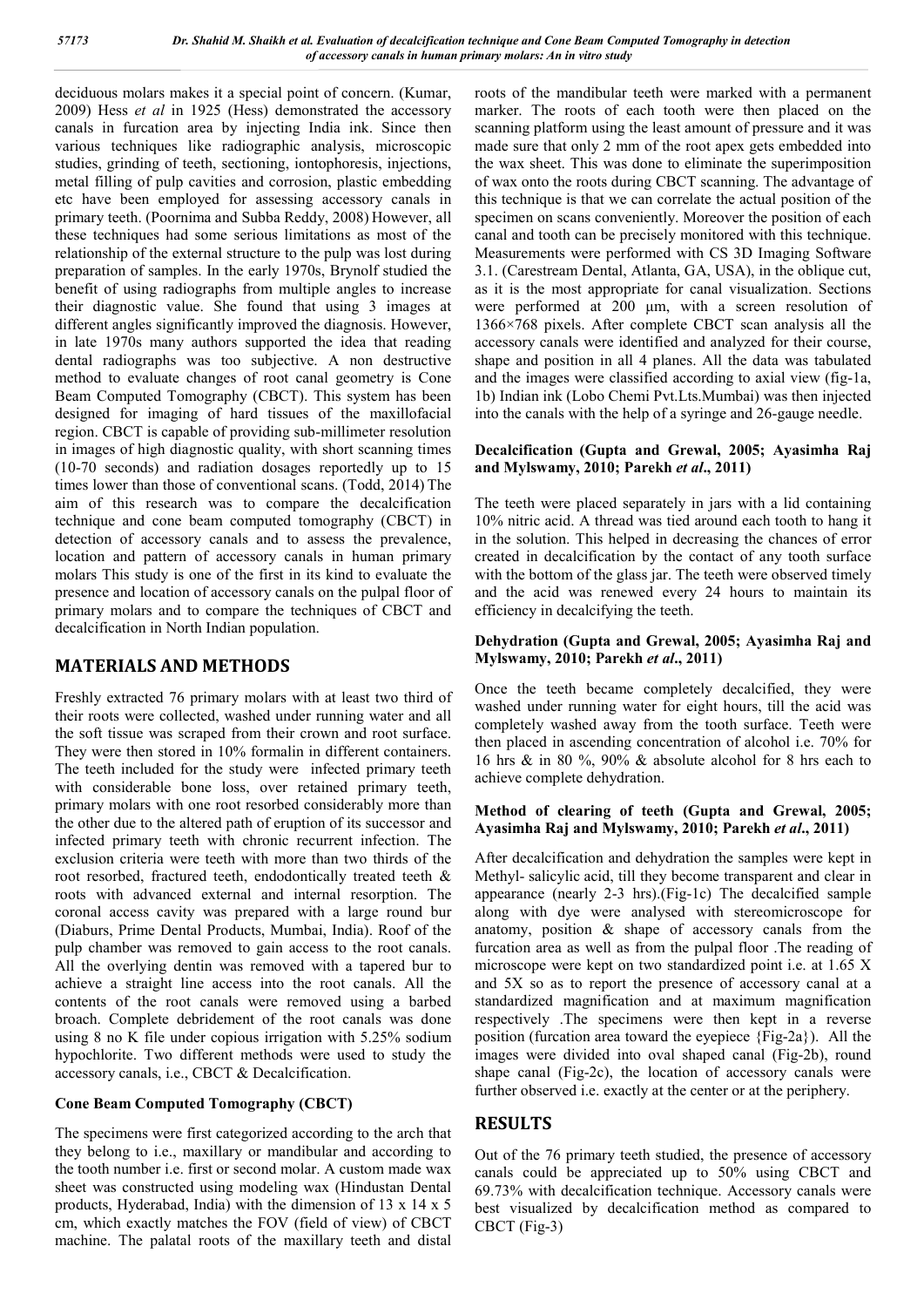deciduous molars makes it a special point of concern. (Kumar, 2009) Hess *et al* in 1925 (Hess) demonstrated the accessory canals in furcation area by injecting India ink. Since then various techniques like radiographic analysis, microscopic studies, grinding of teeth, sectioning, iontophoresis, injections, metal filling of pulp cavities and corrosion, plastic embedding etc have been employed for assessing accessory canals in primary teeth. (Poornima and Subba Reddy, 2008) However, all these techniques had some serious limitations as most of the relationship of the external structure to the pulp was lost during preparation of samples. In the early 1970s, Brynolf studied the benefit of using radiographs from multiple angles to increase their diagnostic value. She found that using 3 images at different angles significantly improved the diagnosis. However, in late 1970s many authors supported the idea that reading dental radiographs was too subjective. A non destructive method to evaluate changes of root canal geometry is Cone Beam Computed Tomography (CBCT). This system has been designed for imaging of hard tissues of the maxillofacial region. CBCT is capable of providing sub-millimeter resolution in images of high diagnostic quality, with short scanning times (10-70 seconds) and radiation dosages reportedly up to 15 times lower than those of conventional scans. (Todd, 2014) The aim of this research was to compare the decalcification technique and cone beam computed tomography (CBCT) in detection of accessory canals and to assess the prevalence, location and pattern of accessory canals in human primary molars This study is one of the first in its kind to evaluate the presence and location of accessory canals on the pulpal floor of primary molars and to compare the techniques of CBCT and decalcification in North Indian population.

### **MATERIALS AND METHODS**

Freshly extracted 76 primary molars with at least two third of their roots were collected, washed under running water and all the soft tissue was scraped from their crown and root surface. They were then stored in 10% formalin in different containers. The teeth included for the study were infected primary teeth with considerable bone loss, over retained primary teeth, primary molars with one root resorbed considerably more than the other due to the altered path of eruption of its successor and infected primary teeth with chronic recurrent infection. The exclusion criteria were teeth with more than two thirds of the root resorbed, fractured teeth, endodontically treated teeth & roots with advanced external and internal resorption. The coronal access cavity was prepared with a large round bur (Diaburs, Prime Dental Products, Mumbai, India). Roof of the pulp chamber was removed to gain access to the root canals. All the overlying dentin was removed with a tapered bur to achieve a straight line access into the root canals. All the contents of the root canals were removed using a barbed broach. Complete debridement of the root canals was done using 8 no K file under copious irrigation with 5.25% sodium hypochlorite. Two different methods were used to study the accessory canals, i.e., CBCT & Decalcification.

### **Cone Beam Computed Tomography (CBCT)**

The specimens were first categorized according to the arch that they belong to i.e., maxillary or mandibular and according to the tooth number i.e. first or second molar. A custom made wax sheet was constructed using modeling wax (Hindustan Dental products, Hyderabad, India) with the dimension of 13 x 14 x 5 cm, which exactly matches the FOV (field of view) of CBCT machine. The palatal roots of the maxillary teeth and distal

roots of the mandibular teeth were marked with a permanent marker. The roots of each tooth were then placed on the scanning platform using the least amount of pressure and it was made sure that only 2 mm of the root apex gets embedded into the wax sheet. This was done to eliminate the superimposition of wax onto the roots during CBCT scanning. The advantage of this technique is that we can correlate the actual position of the specimen on scans conveniently. Moreover the position of each canal and tooth can be precisely monitored with this technique. Measurements were performed with CS 3D Imaging Software 3.1. (Carestream Dental, Atlanta, GA, USA), in the oblique cut, as it is the most appropriate for canal visualization. Sections were performed at 200 μm, with a screen resolution of 1366×768 pixels. After complete CBCT scan analysis all the accessory canals were identified and analyzed for their course, shape and position in all 4 planes. All the data was tabulated and the images were classified according to axial view (fig-1a, 1b) Indian ink (Lobo Chemi Pvt.Lts.Mumbai) was then injected into the canals with the help of a syringe and 26-gauge needle.

#### **Decalcification (Gupta and Grewal, 2005; Ayasimha Raj and Mylswamy, 2010; Parekh** *et al***., 2011)**

The teeth were placed separately in jars with a lid containing 10% nitric acid. A thread was tied around each tooth to hang it in the solution. This helped in decreasing the chances of error created in decalcification by the contact of any tooth surface with the bottom of the glass jar. The teeth were observed timely and the acid was renewed every 24 hours to maintain its efficiency in decalcifying the teeth.

#### **Dehydration (Gupta and Grewal, 2005; Ayasimha Raj and Mylswamy, 2010; Parekh** *et al***., 2011)**

Once the teeth became completely decalcified, they were washed under running water for eight hours, till the acid was completely washed away from the tooth surface. Teeth were then placed in ascending concentration of alcohol i.e. 70% for 16 hrs & in 80 %, 90% & absolute alcohol for 8 hrs each to achieve complete dehydration.

#### **Method of clearing of teeth (Gupta and Grewal, 2005; Ayasimha Raj and Mylswamy, 2010; Parekh** *et al***., 2011)**

After decalcification and dehydration the samples were kept in Methyl- salicylic acid, till they become transparent and clear in appearance (nearly 2-3 hrs).(Fig-1c) The decalcified sample along with dye were analysed with stereomicroscope for anatomy, position & shape of accessory canals from the furcation area as well as from the pulpal floor .The reading of microscope were kept on two standardized point i.e. at 1.65 X and 5X so as to report the presence of accessory canal at a standardized magnification and at maximum magnification respectively .The specimens were then kept in a reverse position (furcation area toward the eyepiece {Fig-2a}). All the images were divided into oval shaped canal (Fig-2b), round shape canal (Fig-2c), the location of accessory canals were further observed i.e. exactly at the center or at the periphery.

### **RESULTS**

Out of the 76 primary teeth studied, the presence of accessory canals could be appreciated up to 50% using CBCT and 69.73% with decalcification technique. Accessory canals were best visualized by decalcification method as compared to CBCT (Fig-3)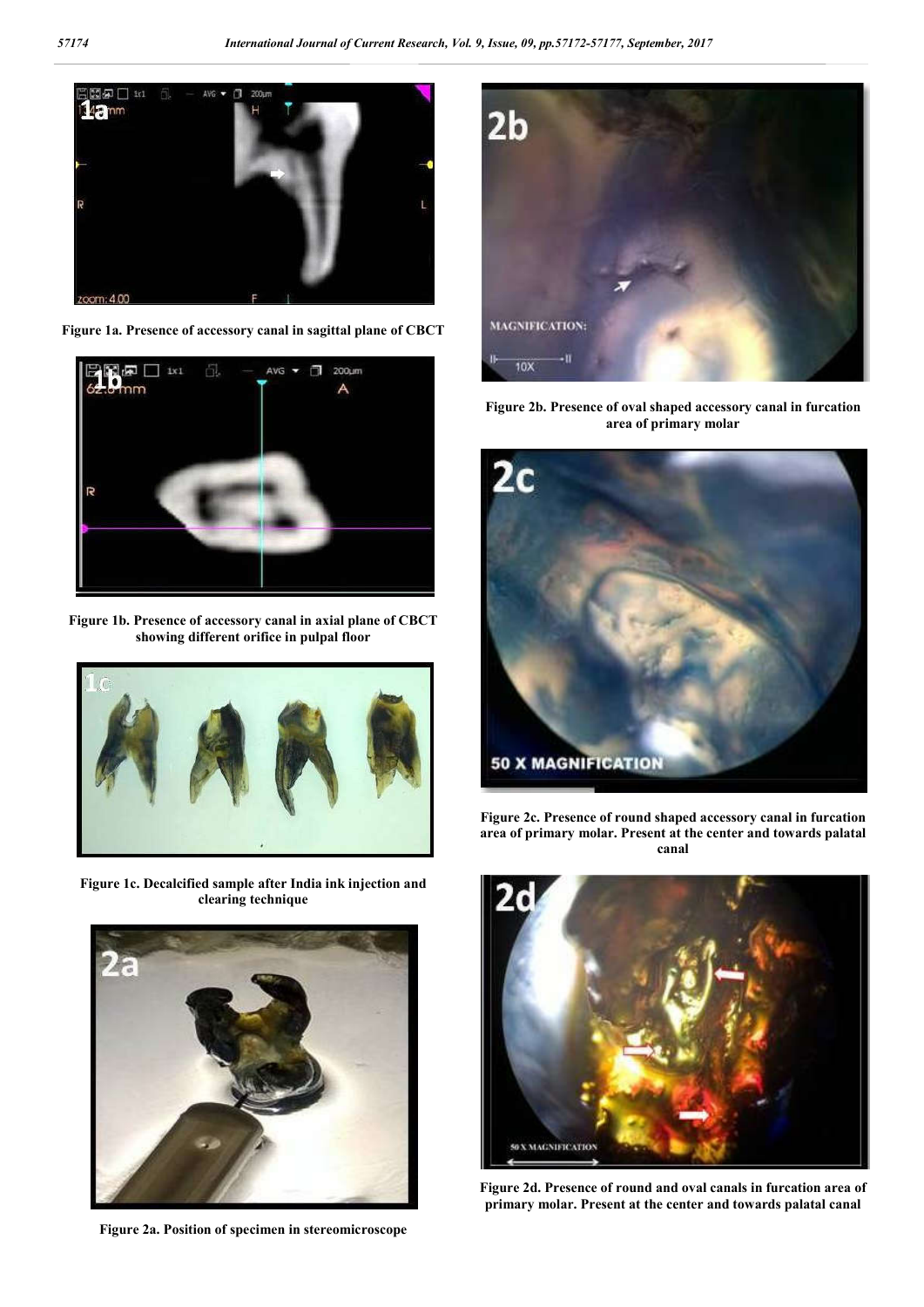

**Figure 1a. Presence of accessory canal in sagittal plane of CBCT**



**Figure 1b. Presence of accessory canal in axial plane of CBCT showing different orifice in pulpal floor**



**Figure 1c. Decalcified sample after India ink injection and clearing technique**



**Figure 2a. Position of specimen in stereomicroscope**



**Figure 2b. Presence of oval shaped accessory canal in furcation area of primary molar**



**Figure 2c. Presence of round shaped accessory canal in furcation area of primary molar. Present at the center and towards palatal canal**



**Figure 2d. Presence of round and oval canals in furcation area of primary molar. Present at the center and towards palatal canal**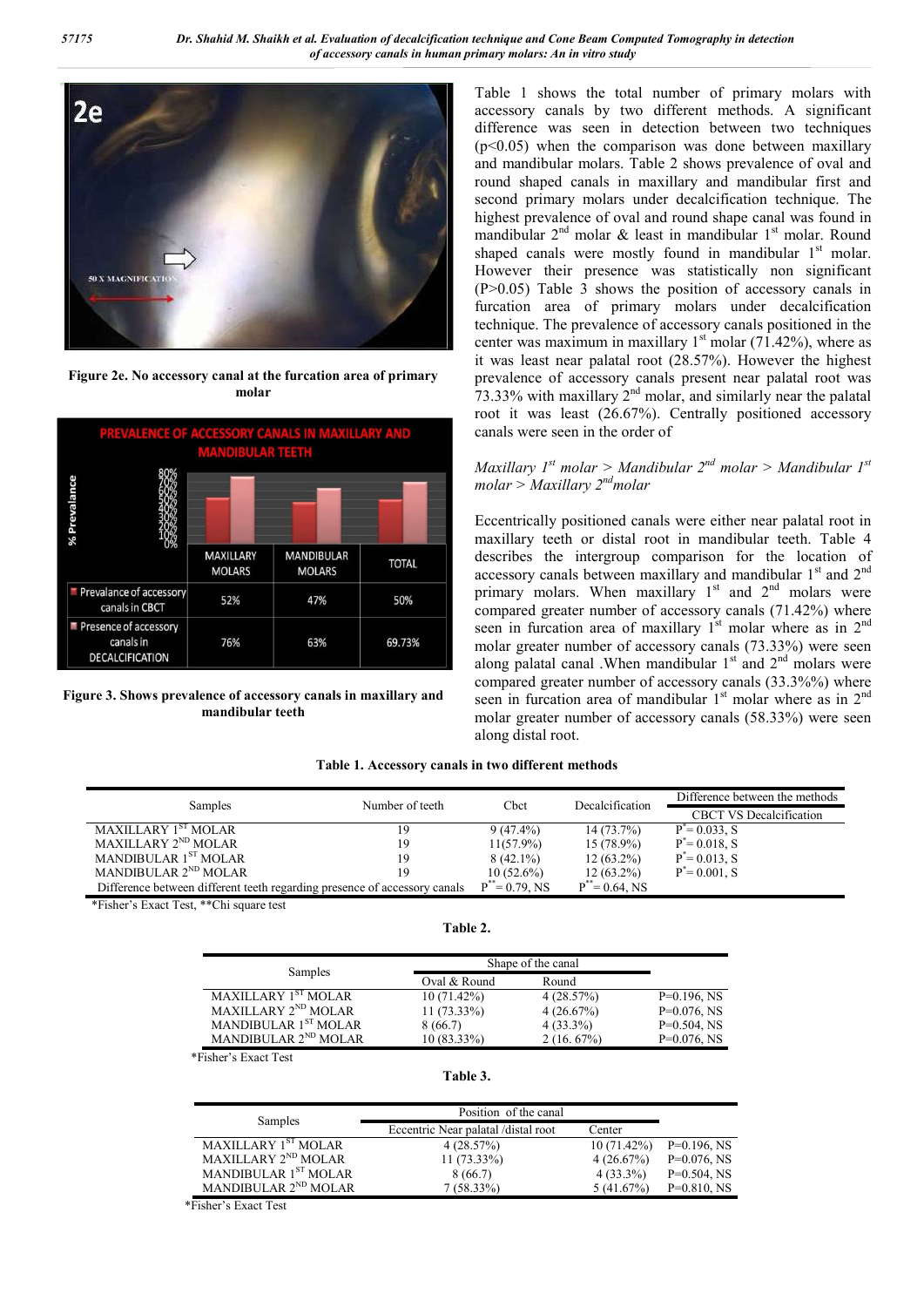

**Figure 2e. No accessory canal at the furcation area of primary molar**



**Figure 3. Shows prevalence of accessory canals in maxillary and mandibular teeth**

Table 1 shows the total number of primary molars with accessory canals by two different methods. A significant difference was seen in detection between two techniques  $(p<0.05)$  when the comparison was done between maxillary and mandibular molars. Table 2 shows prevalence of oval and round shaped canals in maxillary and mandibular first and second primary molars under decalcification technique. The highest prevalence of oval and round shape canal was found in mandibular  $2<sup>nd</sup>$  molar & least in mandibular  $1<sup>st</sup>$  molar. Round shaped canals were mostly found in mandibular  $1<sup>st</sup>$  molar. However their presence was statistically non significant (P>0.05) Table 3 shows the position of accessory canals in furcation area of primary molars under decalcification technique. The prevalence of accessory canals positioned in the center was maximum in maxillary  $1<sup>st</sup>$  molar (71.42%), where as it was least near palatal root (28.57%). However the highest prevalence of accessory canals present near palatal root was  $73.33\%$  with maxillary  $2<sup>nd</sup>$  molar, and similarly near the palatal root it was least (26.67%). Centrally positioned accessory canals were seen in the order of

#### *Maxillary 1st molar > Mandibular 2nd molar > Mandibular 1st molar > Maxillary 2ndmolar*

Eccentrically positioned canals were either near palatal root in maxillary teeth or distal root in mandibular teeth. Table 4 describes the intergroup comparison for the location of accessory canals between maxillary and mandibular 1<sup>st</sup> and 2<sup>nd</sup> primary molars. When maxillary  $1<sup>st</sup>$  and  $2<sup>nd</sup>$  molars were compared greater number of accessory canals (71.42%) where seen in furcation area of maxillary  $1<sup>st</sup>$  molar where as in  $2<sup>nd</sup>$ molar greater number of accessory canals (73.33%) were seen along palatal canal .When mandibular  $1<sup>st</sup>$  and  $2<sup>nd</sup>$  molars were compared greater number of accessory canals (33.3%%) where seen in furcation area of mandibular  $1<sup>st</sup>$  molar where as in  $2<sup>nd</sup>$ molar greater number of accessory canals (58.33%) were seen along distal root.

#### **Table 1. Accessory canals in two different methods**

| Samples                                                                   | Number of teeth | Cbct              | Decalcification   | Difference between the methods |
|---------------------------------------------------------------------------|-----------------|-------------------|-------------------|--------------------------------|
|                                                                           |                 |                   |                   | <b>CBCT VS Decalcification</b> |
| MAXILLARY 1 <sup>st</sup> MOLAR                                           | 19              | $9(47.4\%)$       | $14(73.7\%)$      | $P^* = 0.033$ , S              |
| MAXILLARY 2 <sup>ND</sup> MOLAR                                           | 19              | $11(57.9\%)$      | $15(78.9\%)$      | $P^* = 0.018$ , S              |
| MANDIBULAR 1 <sup>ST</sup> MOLAR                                          | 19              | $8(42.1\%)$       | $12(63.2\%)$      | $P^* = 0.013$ , S              |
| MANDIBULAR 2 <sup>ND</sup> MOLAR                                          | 19              | $10(52.6\%)$      | $12(63.2\%)$      | $P^* = 0.001$ . S              |
| Difference between different teeth regarding presence of accessory canals |                 | $P^* = 0.79$ , NS | $P^* = 0.64$ , NS |                                |

\*Fisher's Exact Test, \*\*Chi square test

| Samples                          | Shape of the canal |             |                |
|----------------------------------|--------------------|-------------|----------------|
|                                  | Oval & Round       | Round       |                |
| MAXILLARY 1 <sup>ST</sup> MOLAR  | $10(71.42\%)$      | 4(28.57%)   | $P=0.196$ , NS |
| MAXILLARY 2 <sup>ND</sup> MOLAR  | $11(73.33\%)$      | 4(26.67%)   | $P=0.076$ , NS |
| MANDIBULAR 1 <sup>ST</sup> MOLAR | 8 (66.7)           | $4(33.3\%)$ | $P=0.504$ , NS |
| MANDIBULAR 2 <sup>ND</sup> MOLAR | $10(83.33\%)$      | 2(16.67%)   | $P=0.076$ , NS |

**Table 2.**

\*Fisher's Exact Test

#### **Table 3.**

|                                  | Position of the canal               |             |                |
|----------------------------------|-------------------------------------|-------------|----------------|
| Samples                          | Eccentric Near palatal /distal root | Center      |                |
| MAXILLARY 1 <sup>ST</sup> MOLAR  | 4(28.57%)                           | 10(71.42%)  | $P=0.196$ , NS |
| MAXILLARY 2 <sup>ND</sup> MOLAR  | $11(73.33\%)$                       | 4(26.67%)   | $P=0.076$ , NS |
| MANDIBULAR 1 <sup>ST</sup> MOLAR | 8(66.7)                             | $4(33.3\%)$ | $P=0.504$ , NS |
| MANDIBULAR 2 <sup>ND</sup> MOLAR | $7(58.33\%)$                        | 5(41.67%)   | $P=0.810$ , NS |

\*Fisher's Exact Test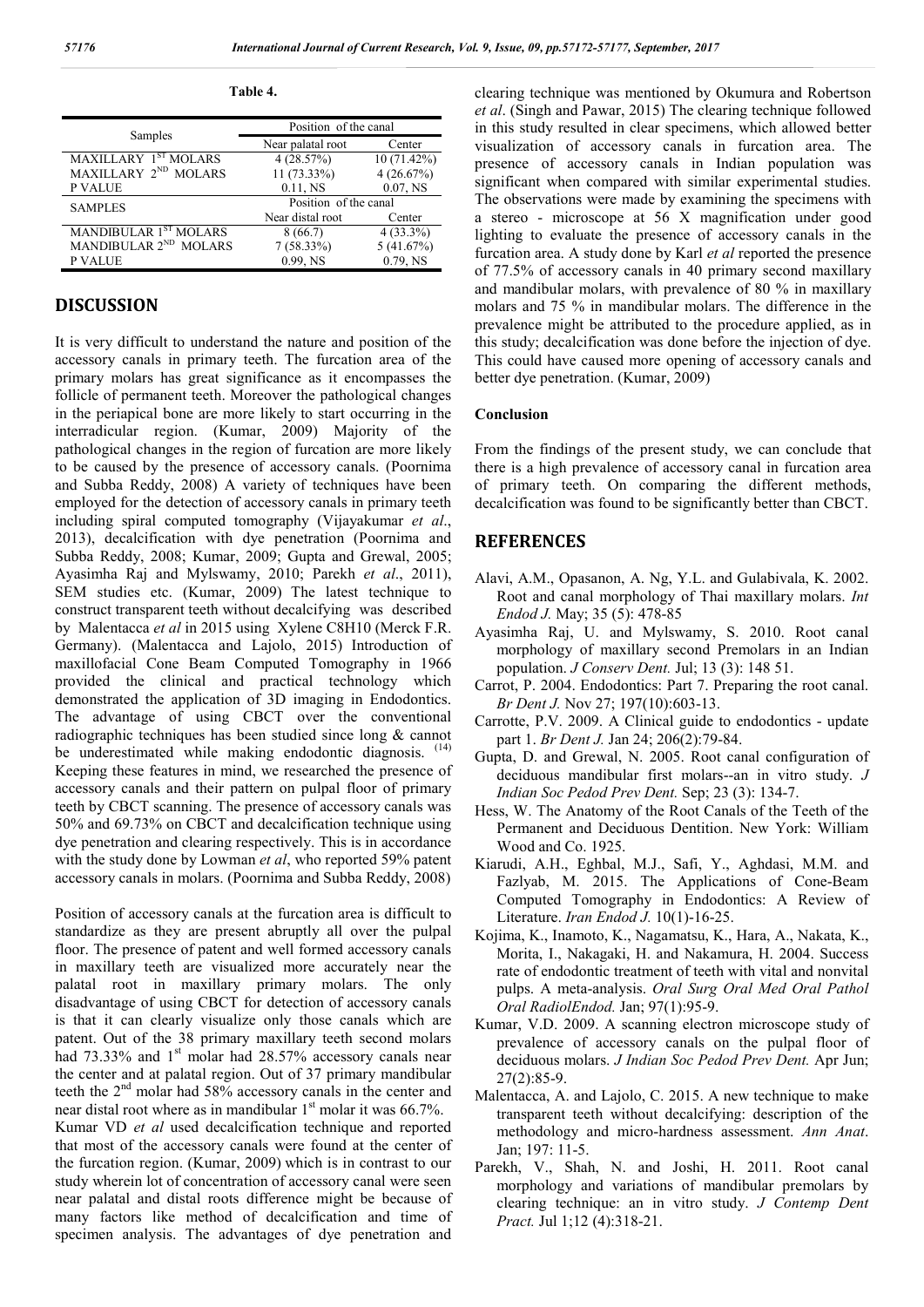| abie |
|------|
|------|

|                                   | Position of the canal |               |  |
|-----------------------------------|-----------------------|---------------|--|
| Samples                           | Near palatal root     | Center        |  |
| MAXILLARY <sup>1ST</sup> MOLARS   | 4(28.57%)             | $10(71.42\%)$ |  |
| MAXILLARY 2 <sup>ND</sup> MOLARS  | 11 (73.33%)           | 4(26.67%)     |  |
| <b>P VALUE</b>                    | 0.11, NS              | $0.07,$ NS    |  |
| <b>SAMPLES</b>                    | Position of the canal |               |  |
|                                   | Near distal root      | Center        |  |
| MANDIBULAR 1ST MOLARS             | 8(66.7)               | $4(33.3\%)$   |  |
| MANDIBULAR 2 <sup>ND</sup> MOLARS | $7(58.33\%)$          | 5(41.67%)     |  |
| <b>P VALUE</b>                    | 0.99, NS              | $0.79$ , NS   |  |

# **DISCUSSION**

It is very difficult to understand the nature and position of the accessory canals in primary teeth. The furcation area of the primary molars has great significance as it encompasses the follicle of permanent teeth. Moreover the pathological changes in the periapical bone are more likely to start occurring in the interradicular region. (Kumar, 2009) Majority of the pathological changes in the region of furcation are more likely to be caused by the presence of accessory canals. (Poornima and Subba Reddy, 2008) A variety of techniques have been employed for the detection of accessory canals in primary teeth including spiral computed tomography (Vijayakumar *et al*., 2013), decalcification with dye penetration (Poornima and Subba Reddy, 2008; Kumar, 2009; Gupta and Grewal, 2005; Ayasimha Raj and Mylswamy, 2010; Parekh *et al*., 2011), SEM studies etc. (Kumar, 2009) The latest technique to construct transparent teeth without decalcifying was described by Malentacca *et al* in 2015 using Xylene C8H10 (Merck F.R. Germany). (Malentacca and Lajolo, 2015) Introduction of maxillofacial Cone Beam Computed Tomography in 1966 provided the clinical and practical technology which demonstrated the application of 3D imaging in Endodontics. The advantage of using CBCT over the conventional radiographic techniques has been studied since long & cannot be underestimated while making endodontic diagnosis. <sup>(14)</sup> Keeping these features in mind, we researched the presence of accessory canals and their pattern on pulpal floor of primary teeth by CBCT scanning. The presence of accessory canals was 50% and 69.73% on CBCT and decalcification technique using dye penetration and clearing respectively. This is in accordance with the study done by Lowman *et al*, who reported 59% patent accessory canals in molars. (Poornima and Subba Reddy, 2008)

Position of accessory canals at the furcation area is difficult to standardize as they are present abruptly all over the pulpal floor. The presence of patent and well formed accessory canals in maxillary teeth are visualized more accurately near the palatal root in maxillary primary molars. The only disadvantage of using CBCT for detection of accessory canals is that it can clearly visualize only those canals which are patent. Out of the 38 primary maxillary teeth second molars had 73.33% and 1<sup>st</sup> molar had 28.57% accessory canals near the center and at palatal region. Out of 37 primary mandibular teeth the 2<sup>nd</sup> molar had 58% accessory canals in the center and near distal root where as in mandibular  $1<sup>st</sup>$  molar it was 66.7%. Kumar VD *et al* used decalcification technique and reported that most of the accessory canals were found at the center of the furcation region. (Kumar, 2009) which is in contrast to our study wherein lot of concentration of accessory canal were seen near palatal and distal roots difference might be because of many factors like method of decalcification and time of specimen analysis. The advantages of dye penetration and

clearing technique was mentioned by Okumura and Robertson *et al*. (Singh and Pawar, 2015) The clearing technique followed in this study resulted in clear specimens, which allowed better visualization of accessory canals in furcation area. The presence of accessory canals in Indian population was significant when compared with similar experimental studies. The observations were made by examining the specimens with a stereo - microscope at 56 X magnification under good lighting to evaluate the presence of accessory canals in the furcation area. A study done by Karl *et al* reported the presence of 77.5% of accessory canals in 40 primary second maxillary and mandibular molars, with prevalence of 80 % in maxillary molars and 75 % in mandibular molars. The difference in the prevalence might be attributed to the procedure applied, as in this study; decalcification was done before the injection of dye. This could have caused more opening of accessory canals and better dye penetration. (Kumar, 2009)

#### **Conclusion**

From the findings of the present study, we can conclude that there is a high prevalence of accessory canal in furcation area of primary teeth. On comparing the different methods, decalcification was found to be significantly better than CBCT.

### **REFERENCES**

- Alavi, A.M., Opasanon, A. Ng, Y.L. and Gulabivala, K. 2002. Root and canal morphology of Thai maxillary molars. *Int Endod J.* May; 35 (5): 478-85
- Ayasimha Raj, U. and Mylswamy, S. 2010. Root canal morphology of maxillary second Premolars in an Indian population. *J Conserv Dent.* Jul; 13 (3): 148 51.
- Carrot, P. 2004. Endodontics: Part 7. Preparing the root canal. *Br Dent J.* Nov 27; 197(10):603-13.
- Carrotte, P.V. 2009. A Clinical guide to endodontics update part 1. *Br Dent J.* Jan 24; 206(2):79-84.
- Gupta, D. and Grewal, N. 2005. Root canal configuration of deciduous mandibular first molars--an in vitro study. *J Indian Soc Pedod Prev Dent.* Sep; 23 (3): 134-7.
- Hess, W. The Anatomy of the Root Canals of the Teeth of the Permanent and Deciduous Dentition. New York: William Wood and Co. 1925.
- Kiarudi, A.H., Eghbal, M.J., Safi, Y., Aghdasi, M.M. and Fazlyab, M. 2015. The Applications of Cone-Beam Computed Tomography in Endodontics: A Review of Literature. *Iran Endod J.* 10(1)-16-25.
- Kojima, K., Inamoto, K., Nagamatsu, K., Hara, A., Nakata, K., Morita, I., Nakagaki, H. and Nakamura, H. 2004. Success rate of endodontic treatment of teeth with vital and nonvital pulps. A meta-analysis. *Oral Surg Oral Med Oral Pathol Oral RadiolEndod.* Jan; 97(1):95-9.
- Kumar, V.D. 2009. A scanning electron microscope study of prevalence of accessory canals on the pulpal floor of deciduous molars. *J Indian Soc Pedod Prev Dent.* Apr Jun; 27(2):85-9.
- Malentacca, A. and Lajolo, C. 2015. A new technique to make transparent teeth without decalcifying: description of the methodology and micro-hardness assessment. *Ann Anat*. Jan; 197: 11-5.
- Parekh, V., Shah, N. and Joshi, H. 2011. Root canal morphology and variations of mandibular premolars by clearing technique: an in vitro study. *J Contemp Dent Pract.* Jul 1;12 (4):318-21.